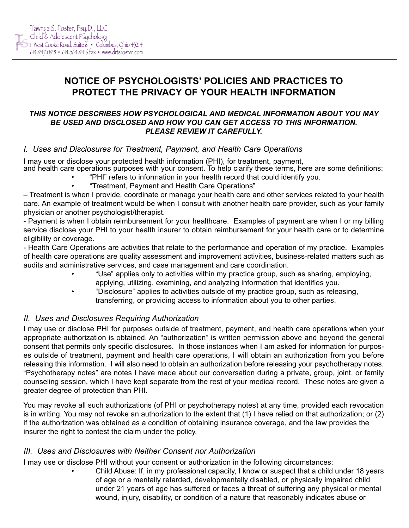# **NOTICE OF PSYCHOLOGISTS' POLICIES AND PRACTICES TO PROTECT THE PRIVACY OF YOUR HEALTH INFORMATION**

#### *THIS NOTICE DESCRIBES HOW PSYCHOLOGICAL AND MEDICAL INFORMATION ABOUT YOU MAY BE USED AND DISCLOSED AND HOW YOU CAN GET ACCESS TO THIS INFORMATION. PLEASE REVIEW IT CAREFULLY.*

### *I. Uses and Disclosures for Treatment, Payment, and Health Care Operations*

I may use or disclose your protected health information (PHI), for treatment, payment, and health care operations purposes with your consent. To help clarify these terms, here are some definitions:

- "PHI" refers to information in your health record that could identify you.
	- "Treatment, Payment and Health Care Operations"

– Treatment is when I provide, coordinate or manage your health care and other services related to your health care. An example of treatment would be when I consult with another health care provider, such as your family physician or another psychologist/therapist.

- Payment is when I obtain reimbursement for your healthcare. Examples of payment are when I or my billing service disclose your PHI to your health insurer to obtain reimbursement for your health care or to determine eligibility or coverage.

- Health Care Operations are activities that relate to the performance and operation of my practice. Examples of health care operations are quality assessment and improvement activities, business-related matters such as audits and administrative services, and case management and care coordination.

- "Use" applies only to activities within my practice group, such as sharing, employing, applying, utilizing, examining, and analyzing information that identifies you.
- "Disclosure" applies to activities outside of my practice group, such as releasing, transferring, or providing access to information about you to other parties.

#### *II. Uses and Disclosures Requiring Authorization*

I may use or disclose PHI for purposes outside of treatment, payment, and health care operations when your appropriate authorization is obtained. An "authorization" is written permission above and beyond the general consent that permits only specific disclosures. In those instances when I am asked for information for purposes outside of treatment, payment and health care operations, I will obtain an authorization from you before releasing this information. I will also need to obtain an authorization before releasing your psychotherapy notes. "Psychotherapy notes" are notes I have made about our conversation during a private, group, joint, or family counseling session, which I have kept separate from the rest of your medical record. These notes are given a greater degree of protection than PHI.

You may revoke all such authorizations (of PHI or psychotherapy notes) at any time, provided each revocation is in writing. You may not revoke an authorization to the extent that (1) I have relied on that authorization; or (2) if the authorization was obtained as a condition of obtaining insurance coverage, and the law provides the insurer the right to contest the claim under the policy.

#### *III. Uses and Disclosures with Neither Consent nor Authorization*

I may use or disclose PHI without your consent or authorization in the following circumstances:

• Child Abuse: If, in my professional capacity, I know or suspect that a child under 18 years of age or a mentally retarded, developmentally disabled, or physically impaired child under 21 years of age has suffered or faces a threat of suffering any physical or mental wound, injury, disability, or condition of a nature that reasonably indicates abuse or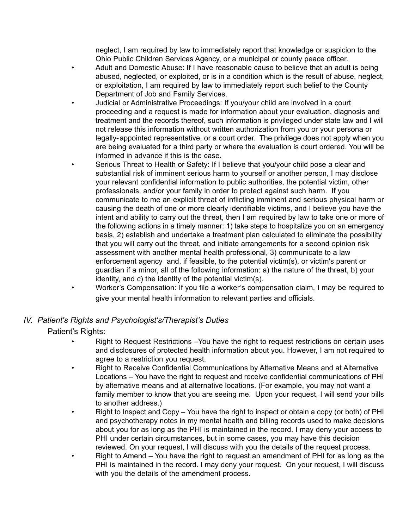neglect, I am required by law to immediately report that knowledge or suspicion to the Ohio Public Children Services Agency, or a municipal or county peace officer.

- Adult and Domestic Abuse: If I have reasonable cause to believe that an adult is being abused, neglected, or exploited, or is in a condition which is the result of abuse, neglect, or exploitation, I am required by law to immediately report such belief to the County Department of Job and Family Services.
- Judicial or Administrative Proceedings: If you/your child are involved in a court proceeding and a request is made for information about your evaluation, diagnosis and treatment and the records thereof, such information is privileged under state law and I will not release this information without written authorization from you or your persona or legally-appointed representative, or a court order. The privilege does not apply when you are being evaluated for a third party or where the evaluation is court ordered. You will be informed in advance if this is the case.
- Serious Threat to Health or Safety: If I believe that you/your child pose a clear and substantial risk of imminent serious harm to yourself or another person, I may disclose your relevant confidential information to public authorities, the potential victim, other professionals, and/or your family in order to protect against such harm. If you communicate to me an explicit threat of inflicting imminent and serious physical harm or causing the death of one or more clearly identifiable victims, and I believe you have the intent and ability to carry out the threat, then I am required by law to take one or more of the following actions in a timely manner: 1) take steps to hospitalize you on an emergency basis, 2) establish and undertake a treatment plan calculated to eliminate the possibility that you will carry out the threat, and initiate arrangements for a second opinion risk assessment with another mental health professional, 3) communicate to a law enforcement agency and, if feasible, to the potential victim(s), or victim's parent or guardian if a minor, all of the following information: a) the nature of the threat, b) your identity, and c) the identity of the potential victim(s).
- Worker's Compensation: If you file a worker's compensation claim, I may be required to give your mental health information to relevant parties and officials.

## *IV. Patient's Rights and Psychologist's/Therapist's Duties* Patient's Rights:

- Right to Request Restrictions –You have the right to request restrictions on certain uses and disclosures of protected health information about you. However, I am not required to agree to a restriction you request.
- Right to Receive Confidential Communications by Alternative Means and at Alternative Locations – You have the right to request and receive confidential communications of PHI by alternative means and at alternative locations. (For example, you may not want a family member to know that you are seeing me. Upon your request, I will send your bills to another address.)
- Right to Inspect and Copy You have the right to inspect or obtain a copy (or both) of PHI and psychotherapy notes in my mental health and billing records used to make decisions about you for as long as the PHI is maintained in the record. I may deny your access to PHI under certain circumstances, but in some cases, you may have this decision reviewed. On your request, I will discuss with you the details of the request process.
- Right to Amend You have the right to request an amendment of PHI for as long as the PHI is maintained in the record. I may deny your request. On your request, I will discuss with you the details of the amendment process.